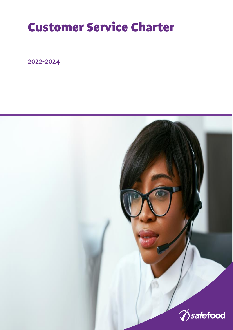## Customer Service Charter

2022-2024

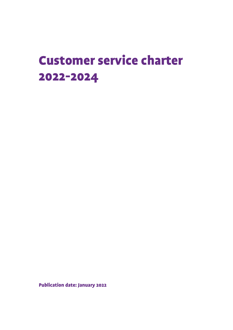### Customer service charter 2022-2024

Publication date: January 2022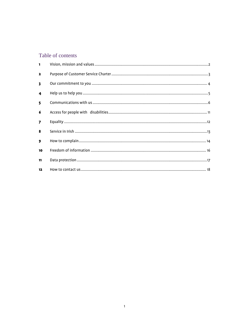#### Table of contents

| $\blacksquare$          |  |
|-------------------------|--|
| $\mathbf{2}$            |  |
| $\overline{\mathbf{3}}$ |  |
| $\overline{\mathbf{4}}$ |  |
| 5                       |  |
| 6                       |  |
| $\overline{7}$          |  |
| 8                       |  |
| $\overline{9}$          |  |
| 10                      |  |
| 11                      |  |
| 12 <sub>2</sub>         |  |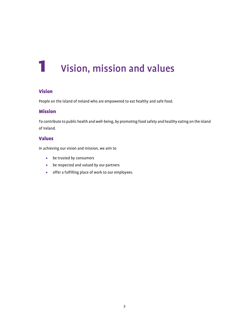## <span id="page-3-0"></span>1 Vision, mission and values

#### Vision

People on the island of Ireland who are empowered to eat healthy and safe food.

#### Mission

To contribute to public health and well-being, by promoting food safety and healthy eating on the island of Ireland.

#### Values

In achieving our vision and mission, we aim to

- be trusted by consumers
- be respected and valued by our partners
- offer a fulfilling place of work to our employees.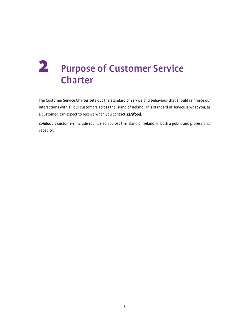### <span id="page-4-0"></span>2 Purpose of Customer Service Charter

The Customer Service Charter sets out the standard of service and behaviour that should reinforce our interactions with all our customers across the island of Ireland. This standard of service is what you, as a customer, can expect to receive when you contact **safefood**.

safefood's customers include each person across the island of Ireland, in both a public and professional capacity.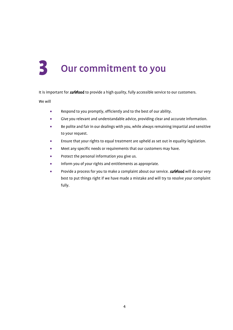# <span id="page-5-0"></span>Our commitment to you

It is important for **safefood** to provide a high quality, fully accessible service to our customers.

We will

- Respond to you promptly, efficiently and to the best of our ability.
- Give you relevant and understandable advice, providing clear and accurate information.
- Be polite and fair in our dealings with you, while always remaining impartial and sensitive to your request.
- Ensure that your rights to equal treatment are upheld as set out in equality legislation.
- Meet any specific needs or requirements that our customers may have.
- Protect the personal information you give us.
- Inform you of your rights and entitlements as appropriate.
- Provide a process for you to make a complaint about our service. **safefood** will do our very best to put things right if we have made a mistake and will try to resolve your complaint fully.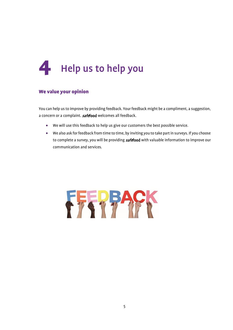<span id="page-6-0"></span>

#### We value your opinion

You can help us to improve by providing feedback. Your feedback might be a compliment, a suggestion, a concern or a complaint. **safefood** welcomes all feedback.

- We will use this feedback to help us give our customers the best possible service.
- We also ask for feedback from time to time, by inviting you to take part in surveys. If you choose to complete a survey, you will be providing **safefood** with valuable information to improve our communication and services.

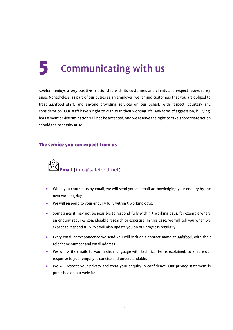# <span id="page-7-0"></span>5 Communicating with us

safefood enjoys a very positive relationship with its customers and clients and respect issues rarely arise. Nonetheless, as part of our duties as an employer, we remind customers that you are obliged to treat **safefood staff**, and anyone providing services on our behalf, with respect, courtesy and consideration. Our staff have a right to dignity in their working life. Any form of aggression, bullying, harassment or discrimination will not be accepted, and we reserve the right to take appropriate action should the necessity arise.

#### The service you can expect from us



- When you contact us by email, we will send you an email acknowledging your enquiry by the next working day.
- We will respond to your enquiry fully within 5 working days.
- Sometimes it may not be possible to respond fully within 5 working days, for example where an enquiry requires considerable research or expertise. In this case, we will tell you when we expect to respond fully. We will also update you on our progress regularly.
- Every email correspondence we send you will include a contact name at **safefood**, with their telephone number and email address.
- We will write emails to you in clear language with technical terms explained, to ensure our response to your enquiry is concise and understandable.
- We will respect your privacy and treat your enquiry in confidence. Our privacy statement is published on our website.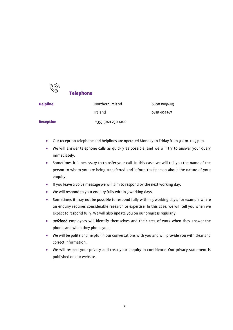

#### Telephone

| <b>Helpline</b>  | Northern Ireland     | 0800 0851683 |  |
|------------------|----------------------|--------------|--|
|                  | Ireland              | 0818 404567  |  |
| <b>Reception</b> | +353 (0) 21 230 4100 |              |  |

- Our reception telephone and helplines are operated Monday to Friday from 9 a.m. to 5 p.m.
- We will answer telephone calls as quickly as possible, and we will try to answer your query immediately.
- Sometimes it is necessary to transfer your call. In this case, we will tell you the name of the person to whom you are being transferred and inform that person about the nature of your enquiry.
- If you leave a voice message we will aim to respond by the next working day.
- We will respond to your enquiry fully within 5 working days.
- Sometimes it may not be possible to respond fully within 5 working days, for example where an enquiry requires considerable research or expertise. In this case, we will tell you when we expect to respond fully. We will also update you on our progress regularly.
- **safefood** employees will identify themselves and their area of work when they answer the phone, and when they phone you.
- We will be polite and helpful in our conversations with you and will provide you with clear and correct information.
- We will respect your privacy and treat your enquiry in confidence. Our privacy statement is published on our website.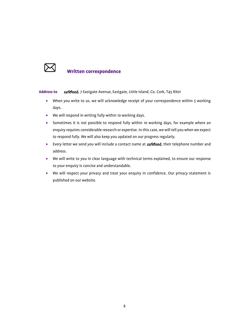

#### Written correspondence

Address to safefood, 7 Eastgate Avenue, Eastgate, Little Island, Co. Cork, T45 RX01

- When you write to us, we will acknowledge receipt of your correspondence within 5 working days.
- We will respond in writing fully within 10 working days.
- Sometimes it is not possible to respond fully within 10 working days, for example where an enquiry requires considerable research or expertise. In this case, we will tell you when we expect to respond fully. We will also keep you updated on our progress regularly.
- Every letter we send you will include a contact name at **safefood**, their telephone number and address.
- We will write to you in clear language with technical terms explained, to ensure our response to your enquiry is concise and understandable.
- We will respect your privacy and treat your enquiry in confidence. Our privacy statement is published on our website.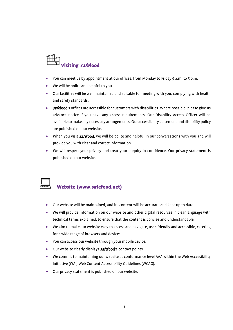

- You can meet us by appointment at our offices, from Monday to Friday 9 a.m. to 5 p.m.
- We will be polite and helpful to you.
- Our facilities will be well maintained and suitable for meeting with you, complying with health and safety standards.
- safefood's offices are accessible for customers with disabilities. Where possible, please give us advance notice if you have any access requirements. Our Disability Access Officer will be available to make any necessary arrangements. Our accessibility statement and disability policy are published on our website.
- When you visit **safefood**, we will be polite and helpful in our conversations with you and will provide you with clear and correct information.
- We will respect your privacy and treat your enquiry in confidence. Our privacy statement is published on our website.



#### Website (www.safefood.net)

- Our website will be maintained, and its content will be accurate and kept up to date.
- We will provide information on our website and other digital resources in clear language with technical terms explained, to ensure that the content is concise and understandable.
- We aim to make our website easy to access and navigate, user-friendly and accessible, catering for a wide range of browsers and devices.
- You can access our website through your mobile device.
- Our website clearly displays **safefood**'s contact points.
- We commit to maintaining our website at conformance level AAA within the Web Accessibility Initiative (WAI) Web Content Accessibility Guidelines (WCAG).
- Our privacy statement is published on our website.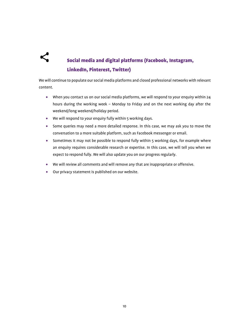

### Social media and digital platforms (Facebook, Instagram, LinkedIn, Pinterest, Twitter)

We will continue to populate our social media platforms and closed professional networks with relevant content.

- When you contact us on our social media platforms, we will respond to your enquiry within 24 hours during the working week – Monday to Friday and on the next working day after the weekend/long weekend/holiday period.
- We will respond to your enquiry fully within 5 working days.
- Some queries may need a more detailed response. In this case, we may ask you to move the conversation to a more suitable platform, such as Facebook messenger or email.
- Sometimes it may not be possible to respond fully within 5 working days, for example where an enquiry requires considerable research or expertise. In this case, we will tell you when we expect to respond fully. We will also update you on our progress regularly.
- We will review all comments and will remove any that are inappropriate or offensive.
- Our privacy statement is published on our website.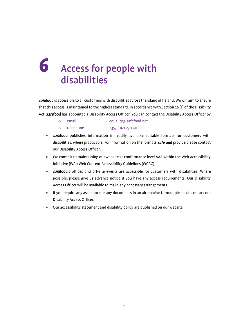### <span id="page-12-0"></span>6 Access for people with disabilities

safefood is accessible to all customers with disabilities across the island of Ireland. We will aim to ensure that this access is maintained to the highest standard. In accordance with Section 26 (2) of the Disability Act, **safefood** has appointed a Disability Access Officer. You can contact the Disability Access Officer by

- o email equality@safefood.net
- o telephone +353 (0)21 230 4100
- **safefood** publishes information in readily available suitable formats for customers with disabilities, where practicable. For information on the formats **safefood** provide please contact our Disability Access Officer.
- We commit to maintaining our website at conformance level AAA within the Web Accessibility Initiative (WAI) Web Content Accessibility Guidelines (WCAG).
- *safe*food's offices and off-site events are accessible for customers with disabilities. Where possible, please give us advance notice if you have any access requirements. Our Disability Access Officer will be available to make any necessary arrangements.
- If you require any assistance or any documents in an alternative format, please do contact our Disability Access Officer.
- Our accessibility statement and disability policy are published on our website.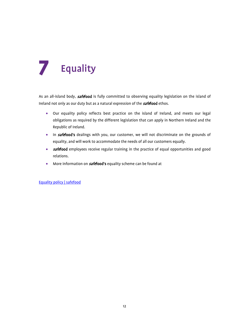# <span id="page-13-0"></span>**Equality**

As an all-island body, **safefood** is fully committed to observing equality legislation on the island of Ireland not only as our duty but as a natural expression of the **safefood** ethos.

- Our equality policy reflects best practice on the island of Ireland, and meets our legal obligations as required by the different legislation that can apply in Northern Ireland and the Republic of Ireland.
- In **safefood's** dealings with you, our customer, we will not discriminate on the grounds of equality, and will work to accommodate the needs of all our customers equally.
- *safe*food employees receive regular training in the practice of equal opportunities and good relations.
- More information on **safefood's** equality scheme can be found at

[Equality policy | safefood](https://www.safefood.net/equality)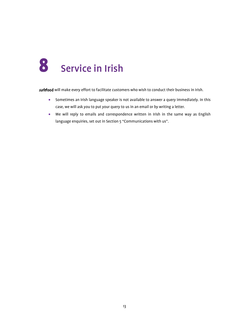<span id="page-14-0"></span>

safefood will make every effort to facilitate customers who wish to conduct their business in Irish.

- Sometimes an Irish language speaker is not available to answer a query immediately. In this case, we will ask you to put your query to us in an email or by writing a letter.
- We will reply to emails and correspondence written in Irish in the same way as English language enquiries, set out in Section 5 "Communications with us".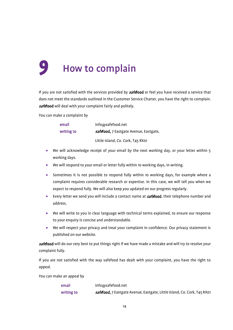# <span id="page-15-0"></span>How to complain

If you are not satisfied with the services provided by **safefood** or feel you have received a service that does not meet the standards outlined in the Customer Service Charter, you have the right to complain. safefood will deal with your complaint fairly and politely.

You can make a complaint by

| email      | info@safefood.net                      |
|------------|----------------------------------------|
| writing to | safefood, 7 Eastgate Avenue, Eastgate, |
|            | Little Island, Co. Cork, T45 RX01      |

- We will acknowledge receipt of your email by the next working day, or your letter within 5 working days.
- We will respond to your email or letter fully within 10 working days, in writing.
- Sometimes it is not possible to respond fully within 10 working days, for example where a complaint requires considerable research or expertise. In this case, we will tell you when we expect to respond fully. We will also keep you updated on our progress regularly.
- Every letter we send you will include a contact name at **safefood**, their telephone number and address.
- We will write to you in clear language with technical terms explained, to ensure our response to your enquiry is concise and understandable.
- We will respect your privacy and treat your complaint in confidence. Our privacy statement is published on our website.

safefood will do our very best to put things right if we have made a mistake and will try to resolve your complaint fully.

If you are not satisfied with the way safefood has dealt with your complaint, you have the right to appeal.

You can make an appeal by

| email      | info@safefood.net                                                                |
|------------|----------------------------------------------------------------------------------|
| writing to | <i>safe</i> food, 7 Eastgate Avenue, Eastgate, Little Island, Co. Cork, T45 RX01 |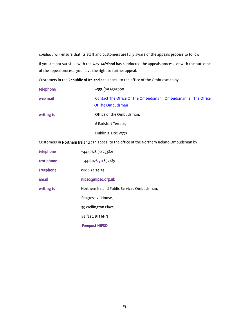safefood will ensure that its staff and customers are fully aware of the appeals process to follow.

If you are not satisfied with the way **safefood** has conducted the appeals process, or with the outcome of the appeal process, you have the right to further appeal.

Customers in the Republic of Ireland can appeal to the office of the Ombudsman by

| telephone  | +353 (0)1 6395600                                                                   |
|------------|-------------------------------------------------------------------------------------|
| web mail   | Contact The Office Of The Ombudsman   Ombudsman.ie   The Office<br>Of The Ombudsman |
| writing to | Office of the Ombudsman,                                                            |
|            | 6 Earlsfort Terrace,                                                                |
|            | Dublin 2, Do2 W773                                                                  |

Customers in Northern Ireland can appeal to the office of the Northern Ireland Ombudsman by

| telephone        | +44 (0) 28 90 233821                        |
|------------------|---------------------------------------------|
| text phone       | +44 (0) 28 90 897789                        |
| <b>Freephone</b> | 0800 34 34 24                               |
| email            | nipso@nipso.org.uk                          |
| writing to       | Northern Ireland Public Services Ombudsman, |
|                  | Progressive House,                          |
|                  | 33 Wellington Place,                        |
|                  | Belfast, BT1 6HN                            |
|                  | <b>Freepost NIPSO</b>                       |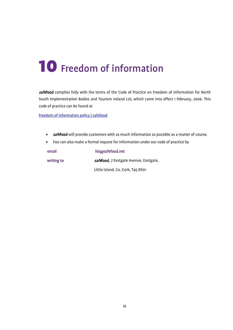## <span id="page-17-0"></span>10 Freedom of information

safefood complies fully with the terms of the Code of Practice on Freedom of Information for North South Implementation Bodies and Tourism Ireland Ltd, which came into effect 1 February, 2006. This code of practice can be found at

[Freedom of Information policy | safefood](https://www.safefood.net/freedom-of-information)

- *safe*food will provide customers with as much information as possible as a matter of course.
- You can also make a formal request for information under our code of practice by

| email      | foi@safefood.net                       |  |
|------------|----------------------------------------|--|
| writing to | safefood, 7 Eastgate Avenue, Eastgate, |  |
|            | Little Island, Co. Cork, T45 RX01      |  |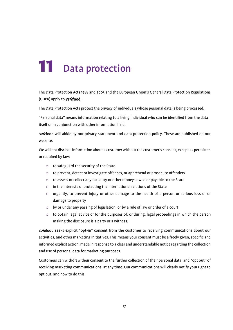# <span id="page-18-0"></span>11 Data protection

The Data Protection Acts 1988 and 2003 and the European Union's General Data Protection Regulations (GDPR) apply to **safefood**.

The Data Protection Acts protect the privacy of individuals whose personal data is being processed.

"Personal data" means information relating to a living individual who can be identified from the data itself or in conjunction with other information held.

safefood will abide by our privacy statement and data protection policy. These are published on our website.

We will not disclose information about a customer without the customer's consent, except as permitted or required by law:

- o to safeguard the security of the State
- o to prevent, detect or investigate offences, or apprehend or prosecute offenders
- o to assess or collect any tax, duty or other moneys owed or payable to the State
- o in the interests of protecting the international relations of the State
- o urgently, to prevent injury or other damage to the health of a person or serious loss of or damage to property
- o by or under any passing of legislation, or by a rule of law or order of a court
- $\circ$  to obtain legal advice or for the purposes of, or during, legal proceedings in which the person making the disclosure is a party or a witness.

safefood seeks explicit "opt-in" consent from the customer to receiving communications about our activities, and other marketing initiatives. This means your consent must be a freely given, specific and informed explicit action, made in response to a clear and understandable notice regarding the collection and use of personal data for marketing purposes.

Customers can withdraw their consent to the further collection of their personal data, and "opt out" of receiving marketing communications, at any time. Our communications will clearly notify your right to opt out, and how to do this.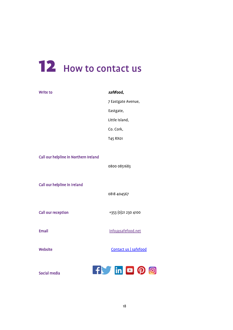# <span id="page-19-0"></span>12 How to contact us

| <b>Write to</b>                       | safefood,             |
|---------------------------------------|-----------------------|
|                                       | 7 Eastgate Avenue,    |
|                                       | Eastgate,             |
|                                       | Little Island,        |
|                                       | Co. Cork,             |
|                                       | T45 RX01              |
| Call our helpline in Northern Ireland | 0800 0851683          |
| Call our helpline in Ireland          | 0818 404567           |
| <b>Call our reception</b>             | +353 (0)21 230 4100   |
| <b>Email</b>                          | info@safefood.net     |
| <b>Website</b>                        | Contact us   safefood |
| Social media                          | <b>If in DOO</b>      |